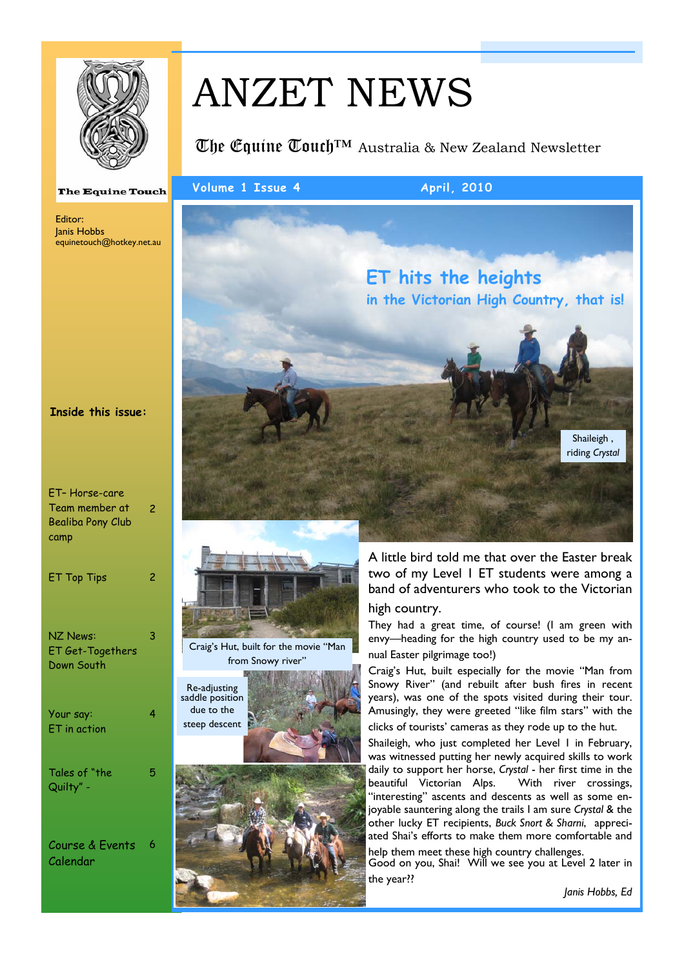

# ANZET NEWS

The Couine  $\mathbb{U}$ ouch<sup>TM</sup> Australia & New Zealand Newsletter

#### **The Equine Touch**

Editor: Janis Hobbs equinetouch@hotkey.net.au

#### **Inside this issue:**

| ET-Horse-care<br>Team member at<br><b>Bealiba Pony Club</b><br>camp | 2 |
|---------------------------------------------------------------------|---|
| <b>ET Top Tips</b>                                                  | 2 |
| <b>NZ News:</b><br><b>ET Get-Togethers</b><br>Down South            | 3 |
| Your say:<br>ET in action                                           | 4 |
| Tales of "the<br>Quilty" -                                          | 5 |
| Course & Events                                                     | 6 |

Calendar







#### Volume 1 Issue 4 April, 2010



A little bird told me that over the Easter break two of my Level 1 ET students were among a band of adventurers who took to the Victorian high country.

They had a great time, of course! (I am green with envy—heading for the high country used to be my annual Easter pilgrimage too!)

Craig's Hut, built especially for the movie "Man from Snowy River" (and rebuilt after bush fires in recent years), was one of the spots visited during their tour. Amusingly, they were greeted "like film stars" with the clicks of tourists' cameras as they rode up to the hut.

Shaileigh, who just completed her Level 1 in February, was witnessed putting her newly acquired skills to work daily to support her horse, *Crystal* - her first time in the beautiful Victorian Alps. With river crossings, "interesting" ascents and descents as well as some enjoyable sauntering along the trails I am sure *Crystal* & the other lucky ET recipients, *Buck Snort & Sharni*, appreciated Shai's efforts to make them more comfortable and

help them meet these high country challenges. Good on you, Shai! Will we see you at Level 2 later in the year??

*Janis Hobbs, Ed*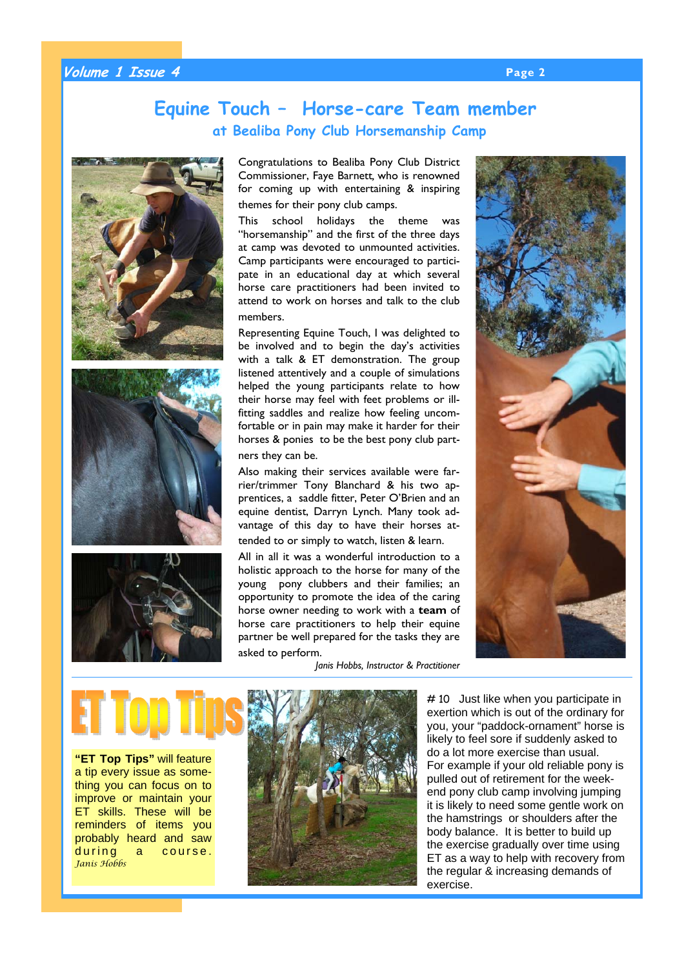#### **Volume 1 Issue 4 Page 2**

## **Equine Touch – Horse-care Team member at Bealiba Pony Club Horsemanship Camp**







**"ET Top Tips"** will feature a tip every issue as something you can focus on to improve or maintain your ET skills. These will be reminders of items you probably heard and saw during a course. *Janis Hobbs*



# 10 Just like when you participate in exertion which is out of the ordinary for you, your "paddock-ornament" horse is likely to feel sore if suddenly asked to do a lot more exercise than usual. For example if your old reliable pony is pulled out of retirement for the weekend pony club camp involving jumping it is likely to need some gentle work on the hamstrings or shoulders after the body balance. It is better to build up the exercise gradually over time using ET as a way to help with recovery from the regular & increasing demands of exercise.

Congratulations to Bealiba Pony Club District Commissioner, Faye Barnett*,* who is renowned for coming up with entertaining & inspiring themes for their pony club camps.

This school holidays the theme was "horsemanship" and the first of the three days at camp was devoted to unmounted activities. Camp participants were encouraged to participate in an educational day at which several horse care practitioners had been invited to attend to work on horses and talk to the club members.

Representing Equine Touch, I was delighted to be involved and to begin the day's activities with a talk & ET demonstration. The group listened attentively and a couple of simulations helped the young participants relate to how their horse may feel with feet problems or illfitting saddles and realize how feeling uncomfortable or in pain may make it harder for their horses & ponies to be the best pony club partners they can be.

Also making their services available were farrier/trimmer Tony Blanchard & his two apprentices, a saddle fitter, Peter O'Brien and an equine dentist, Darryn Lynch. Many took advantage of this day to have their horses attended to or simply to watch, listen & learn.

All in all it was a wonderful introduction to a holistic approach to the horse for many of the young pony clubbers and their families; an opportunity to promote the idea of the caring horse owner needing to work with a **team** of horse care practitioners to help their equine partner be well prepared for the tasks they are asked to perform.

*Janis Hobbs, Instructor & Practitioner* 

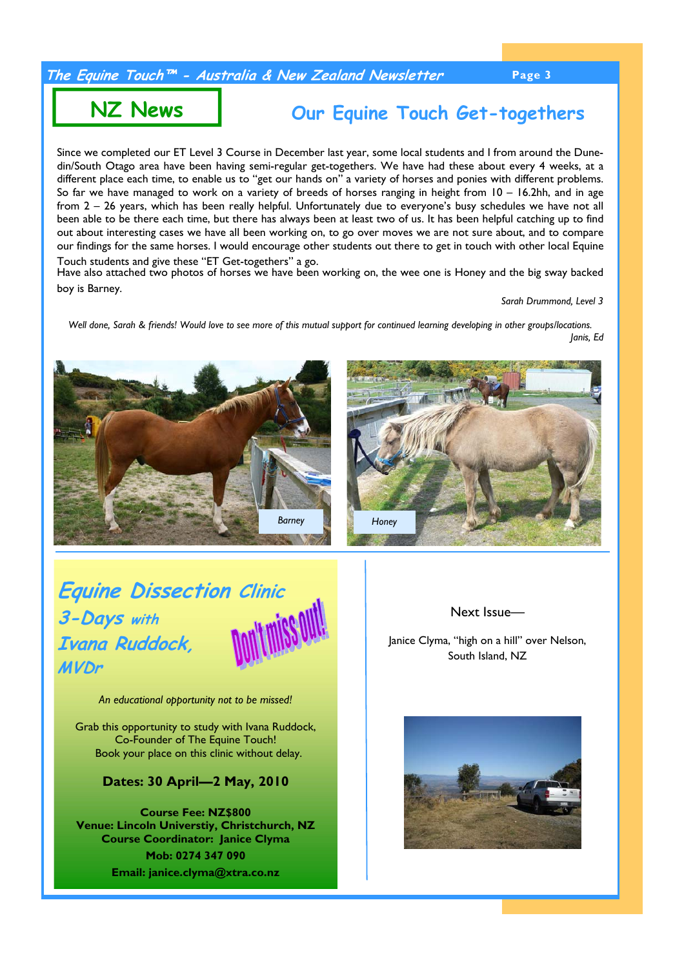#### **The Equine Touch™ - Australia & New Zealand Newsletter Page 3**

## **NZ News**

**Our Equine Touch Get-togethers**

Since we completed our ET Level 3 Course in December last year, some local students and I from around the Dunedin/South Otago area have been having semi-regular get-togethers. We have had these about every 4 weeks, at a different place each time, to enable us to "get our hands on" a variety of horses and ponies with different problems. So far we have managed to work on a variety of breeds of horses ranging in height from 10 – 16.2hh, and in age from 2 – 26 years, which has been really helpful. Unfortunately due to everyone's busy schedules we have not all been able to be there each time, but there has always been at least two of us. It has been helpful catching up to find out about interesting cases we have all been working on, to go over moves we are not sure about, and to compare our findings for the same horses. I would encourage other students out there to get in touch with other local Equine Touch students and give these "ET Get-togethers" a go.

Have also attached two photos of horses we have been working on, the wee one is Honey and the big sway backed boy is Barney.

*Sarah Drummond, Level 3* 

*Well done, Sarah & friends! Would love to see more of this mutual support for continued learning developing in other groups/locations. Janis, Ed* 



## **Equine Dissection Clinic 3-Days with Ivana Ruddock, MVDr**



*An educational opportunity not to be missed!* 

Grab this opportunity to study with Ivana Ruddock, Co-Founder of The Equine Touch! Book your place on this clinic without delay.

#### **Dates: 30 April—2 May, 2010**

 **Course Fee: NZ\$800 Venue: Lincoln Universtiy, Christchurch, NZ Course Coordinator: Janice Clyma Mob: 0274 347 090 Email: janice.clyma@xtra.co.nz** 

Next Issue—

Janice Clyma, "high on a hill" over Nelson, South Island, NZ

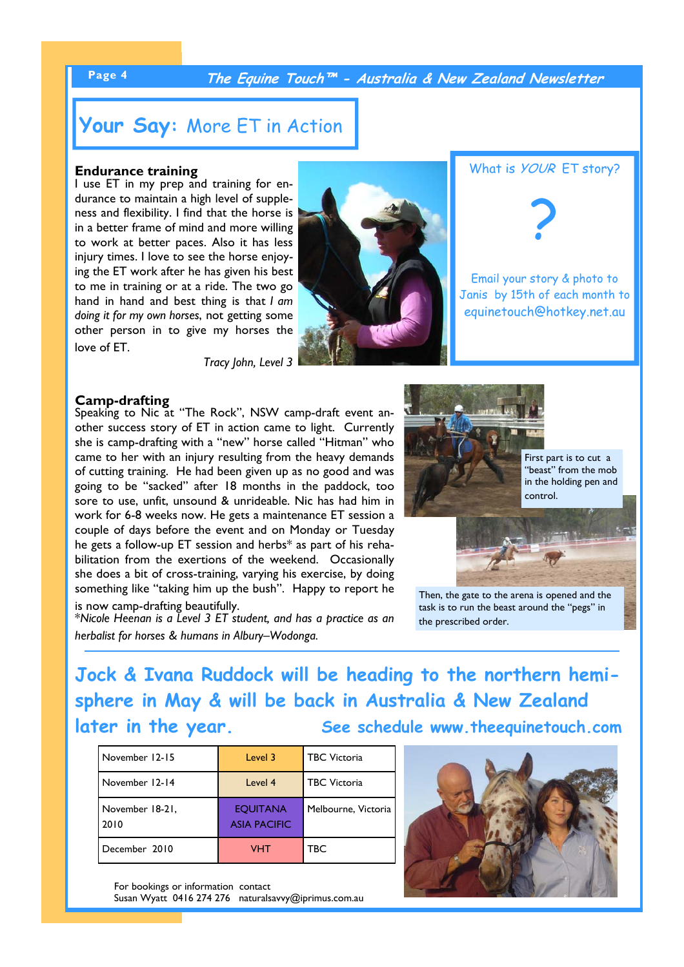#### **Page 4 The Equine Touch™ - Australia & New Zealand Newsletter**

## **Your Say:** More ET in Action

#### **Endurance training**

I use ET in my prep and training for endurance to maintain a high level of suppleness and flexibility. I find that the horse is in a better frame of mind and more willing to work at better paces. Also it has less injury times. I love to see the horse enjoying the ET work after he has given his best to me in training or at a ride. The two go hand in hand and best thing is that *I am doing it for my own horses*, not getting some other person in to give my horses the love of ET.

*Tracy John, Level 3*





Email your story & photo to Janis by 15th of each month to equinetouch@hotkey.net.au

#### **Camp-drafting**

Speaking to Nic at "The Rock", NSW camp-draft event another success story of ET in action came to light. Currently she is camp-drafting with a "new" horse called "Hitman" who came to her with an injury resulting from the heavy demands of cutting training. He had been given up as no good and was going to be "sacked" after 18 months in the paddock, too sore to use, unfit, unsound & unrideable. Nic has had him in work for 6-8 weeks now. He gets a maintenance ET session a couple of days before the event and on Monday or Tuesday he gets a follow-up ET session and herbs\* as part of his rehabilitation from the exertions of the weekend. Occasionally she does a bit of cross-training, varying his exercise, by doing something like "taking him up the bush". Happy to report he is now camp-drafting beautifully.

\**Nicole Heenan is a Level 3 ET student, and has a practice as an herbalist for horses & humans in Albury–Wodonga.* 



Then, the gate to the arena is opened and the task is to run the beast around the "pegs" in the prescribed order.

**Jock & Ivana Ruddock will be heading to the northern hemisphere in May & will be back in Australia & New Zealand**  later in the year. See schedule www.theequinetouch.com

| November 12-15          | Level 3                                | <b>TBC</b> Victoria |
|-------------------------|----------------------------------------|---------------------|
| November 12-14          | Level 4                                | <b>TBC</b> Victoria |
| November 18-21,<br>2010 | <b>EQUITANA</b><br><b>ASIA PACIFIC</b> | Melbourne, Victoria |
| December 2010           | VHT                                    | TBC                 |

For bookings or information contact Susan Wyatt 0416 274 276 naturalsavvy@iprimus.com.au